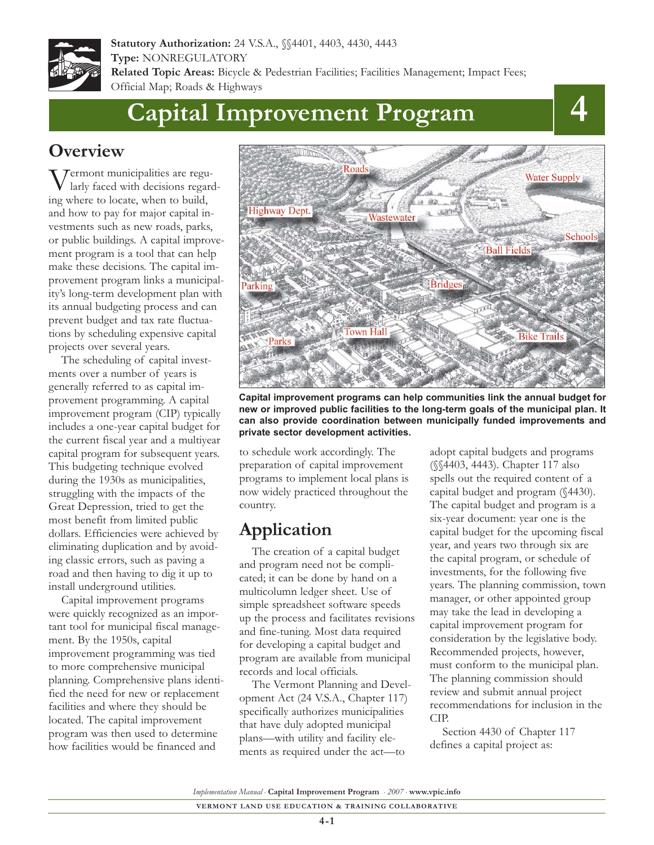

**Statutory Authorization:** 24 V.S.A., §§4401, 4403, 4430, 4443 **Type:** NONREGULATORY **Related Topic Areas:** Bicycle & Pedestrian Facilities; Facilities Management; Impact Fees; Official Map; Roads & Highways

# **Capital Improvement Program**

## **Overview**

Vermont municipalities are regularly faced with decisions regarding where to locate, when to build, and how to pay for major capital investments such as new roads, parks, or public buildings. A capital improvement program is a tool that can help make these decisions. The capital improvement program links a municipality's long-term development plan with its annual budgeting process and can prevent budget and tax rate fluctuations by scheduling expensive capital projects over several years.

The scheduling of capital investments over a number of years is generally referred to as capital improvement programming. A capital improvement program (CIP) typically includes a one-year capital budget for the current fiscal year and a multiyear capital program for subsequent years. This budgeting technique evolved during the 1930s as municipalities, struggling with the impacts of the Great Depression, tried to get the most benefit from limited public dollars. Efficiencies were achieved by eliminating duplication and by avoiding classic errors, such as paving a road and then having to dig it up to install underground utilities.

Capital improvement programs were quickly recognized as an important tool for municipal fiscal management. By the 1950s, capital improvement programming was tied to more comprehensive municipal planning. Comprehensive plans identified the need for new or replacement facilities and where they should be located. The capital improvement program was then used to determine how facilities would be financed and



**Capital improvement programs can help communities link the annual budget for new or improved public facilities to the long-term goals of the municipal plan. It can also provide coordination between municipally funded improvements and private sector development activities.**

to schedule work accordingly. The preparation of capital improvement programs to implement local plans is now widely practiced throughout the country.

### **Application**

The creation of a capital budget and program need not be complicated; it can be done by hand on a multicolumn ledger sheet. Use of simple spreadsheet software speeds up the process and facilitates revisions and fine-tuning. Most data required for developing a capital budget and program are available from municipal records and local officials.

The Vermont Planning and Development Act (24 V.S.A., Chapter 117) specifically authorizes municipalities that have duly adopted municipal plans—with utility and facility elements as required under the act—to

adopt capital budgets and programs (§§4403, 4443). Chapter 117 also spells out the required content of a capital budget and program (§4430). The capital budget and program is a six-year document: year one is the capital budget for the upcoming fiscal year, and years two through six are the capital program, or schedule of investments, for the following five years. The planning commission, town manager, or other appointed group may take the lead in developing a capital improvement program for consideration by the legislative body. Recommended projects, however, must conform to the municipal plan. The planning commission should review and submit annual project recommendations for inclusion in the CIP.

Section 4430 of Chapter 117 defines a capital project as:

*Implementation Manual* • **Capital Improvement Program** • *2007* • **www.vpic.info**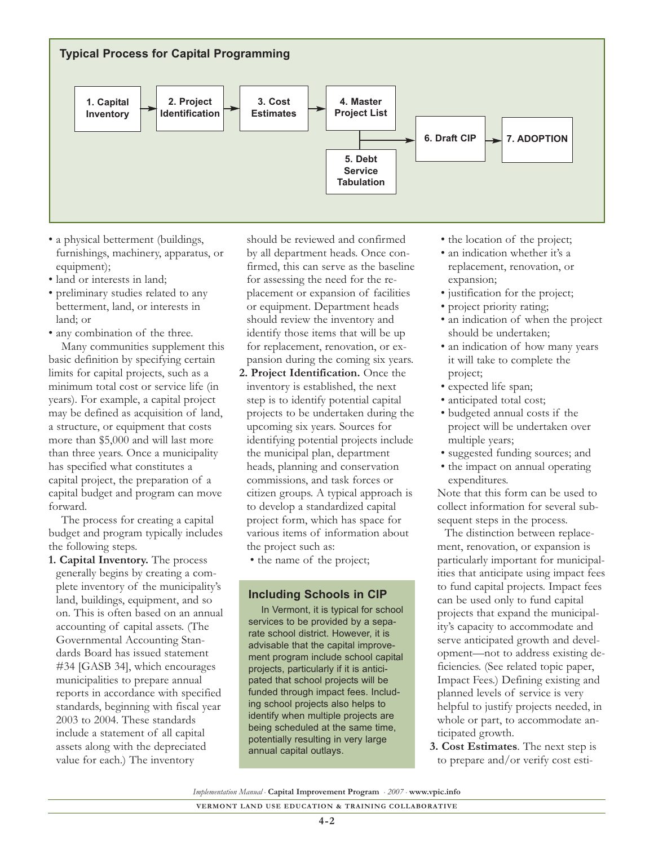

- a physical betterment (buildings, furnishings, machinery, apparatus, or equipment);
- land or interests in land;
- preliminary studies related to any betterment, land, or interests in land; or
- any combination of the three. Many communities supplement this basic definition by specifying certain limits for capital projects, such as a minimum total cost or service life (in years). For example, a capital project may be defined as acquisition of land, a structure, or equipment that costs more than \$5,000 and will last more than three years. Once a municipality has specified what constitutes a capital project, the preparation of a capital budget and program can move forward.

The process for creating a capital budget and program typically includes the following steps.

**1. Capital Inventory.** The process generally begins by creating a complete inventory of the municipality's land, buildings, equipment, and so on. This is often based on an annual accounting of capital assets. (The Governmental Accounting Standards Board has issued statement #34 [GASB 34], which encourages municipalities to prepare annual reports in accordance with specified standards, beginning with fiscal year 2003 to 2004. These standards include a statement of all capital assets along with the depreciated value for each.) The inventory

should be reviewed and confirmed by all department heads. Once confirmed, this can serve as the baseline for assessing the need for the replacement or expansion of facilities or equipment. Department heads should review the inventory and identify those items that will be up for replacement, renovation, or expansion during the coming six years.

**2. Project Identification.** Once the inventory is established, the next step is to identify potential capital projects to be undertaken during the upcoming six years. Sources for identifying potential projects include the municipal plan, department heads, planning and conservation commissions, and task forces or citizen groups. A typical approach is to develop a standardized capital project form, which has space for various items of information about the project such as:

• the name of the project;

#### **Including Schools in CIP**

In Vermont, it is typical for school services to be provided by a separate school district. However, it is advisable that the capital improvement program include school capital projects, particularly if it is anticipated that school projects will be funded through impact fees. Including school projects also helps to identify when multiple projects are being scheduled at the same time, potentially resulting in very large annual capital outlays.

- the location of the project;
- an indication whether it's a replacement, renovation, or expansion;
- justification for the project;
- project priority rating;
- an indication of when the project should be undertaken;
- an indication of how many years it will take to complete the project;
- expected life span;
- anticipated total cost;
- budgeted annual costs if the project will be undertaken over multiple years;
- suggested funding sources; and
- the impact on annual operating expenditures.

Note that this form can be used to collect information for several subsequent steps in the process.

The distinction between replacement, renovation, or expansion is particularly important for municipalities that anticipate using impact fees to fund capital projects. Impact fees can be used only to fund capital projects that expand the municipality's capacity to accommodate and serve anticipated growth and development—not to address existing deficiencies. (See related topic paper, Impact Fees.) Defining existing and planned levels of service is very helpful to justify projects needed, in whole or part, to accommodate anticipated growth.

**3. Cost Estimates**. The next step is to prepare and/or verify cost esti-

*Implementation Manual* • **Capital Improvement Program** • *2007* • **www.vpic.info**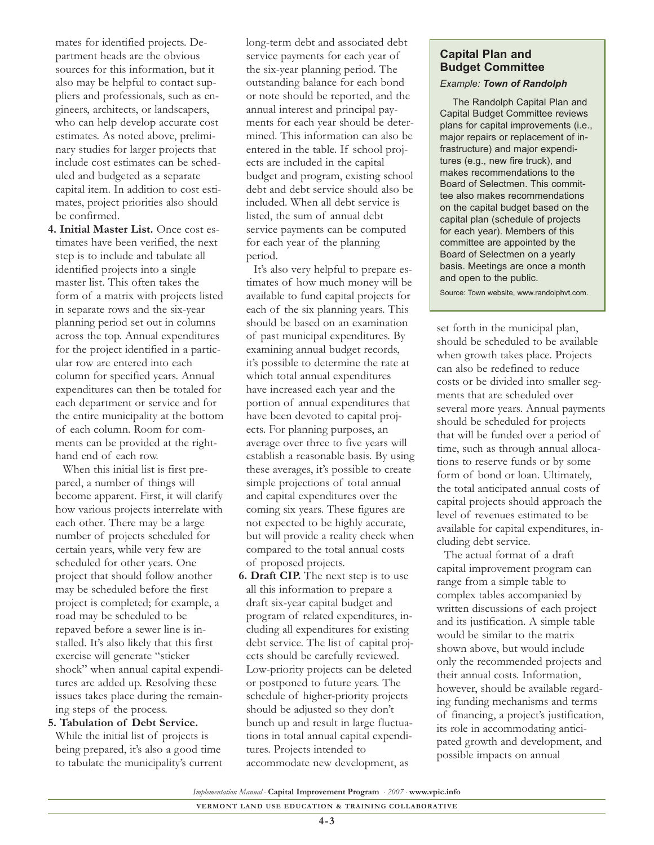mates for identified projects. Department heads are the obvious sources for this information, but it also may be helpful to contact suppliers and professionals, such as engineers, architects, or landscapers, who can help develop accurate cost estimates. As noted above, preliminary studies for larger projects that include cost estimates can be scheduled and budgeted as a separate capital item. In addition to cost estimates, project priorities also should be confirmed.

**4. Initial Master List.** Once cost estimates have been verified, the next step is to include and tabulate all identified projects into a single master list. This often takes the form of a matrix with projects listed in separate rows and the six-year planning period set out in columns across the top. Annual expenditures for the project identified in a particular row are entered into each column for specified years. Annual expenditures can then be totaled for each department or service and for the entire municipality at the bottom of each column. Room for comments can be provided at the righthand end of each row.

When this initial list is first prepared, a number of things will become apparent. First, it will clarify how various projects interrelate with each other. There may be a large number of projects scheduled for certain years, while very few are scheduled for other years. One project that should follow another may be scheduled before the first project is completed; for example, a road may be scheduled to be repaved before a sewer line is installed. It's also likely that this first exercise will generate "sticker shock" when annual capital expenditures are added up. Resolving these issues takes place during the remaining steps of the process.

#### **5. Tabulation of Debt Service.** While the initial list of projects is being prepared, it's also a good time to tabulate the municipality's current

long-term debt and associated debt service payments for each year of the six-year planning period. The outstanding balance for each bond or note should be reported, and the annual interest and principal payments for each year should be determined. This information can also be entered in the table. If school projects are included in the capital budget and program, existing school debt and debt service should also be included. When all debt service is listed, the sum of annual debt service payments can be computed for each year of the planning period.

It's also very helpful to prepare estimates of how much money will be available to fund capital projects for each of the six planning years. This should be based on an examination of past municipal expenditures. By examining annual budget records, it's possible to determine the rate at which total annual expenditures have increased each year and the portion of annual expenditures that have been devoted to capital projects. For planning purposes, an average over three to five years will establish a reasonable basis. By using these averages, it's possible to create simple projections of total annual and capital expenditures over the coming six years. These figures are not expected to be highly accurate, but will provide a reality check when compared to the total annual costs of proposed projects.

**6. Draft CIP.** The next step is to use all this information to prepare a draft six-year capital budget and program of related expenditures, including all expenditures for existing debt service. The list of capital projects should be carefully reviewed. Low-priority projects can be deleted or postponed to future years. The schedule of higher-priority projects should be adjusted so they don't bunch up and result in large fluctuations in total annual capital expenditures. Projects intended to accommodate new development, as

### **Capital Plan and Budget Committee**

#### *Example: Town of Randolph*

The Randolph Capital Plan and Capital Budget Committee reviews plans for capital improvements (i.e., major repairs or replacement of infrastructure) and major expenditures (e.g., new fire truck), and makes recommendations to the Board of Selectmen. This committee also makes recommendations on the capital budget based on the capital plan (schedule of projects for each year). Members of this committee are appointed by the Board of Selectmen on a yearly basis. Meetings are once a month and open to the public.

Source: Town website, www.randolphvt.com.

set forth in the municipal plan, should be scheduled to be available when growth takes place. Projects can also be redefined to reduce costs or be divided into smaller segments that are scheduled over several more years. Annual payments should be scheduled for projects that will be funded over a period of time, such as through annual allocations to reserve funds or by some form of bond or loan. Ultimately, the total anticipated annual costs of capital projects should approach the level of revenues estimated to be available for capital expenditures, including debt service.

The actual format of a draft capital improvement program can range from a simple table to complex tables accompanied by written discussions of each project and its justification. A simple table would be similar to the matrix shown above, but would include only the recommended projects and their annual costs. Information, however, should be available regarding funding mechanisms and terms of financing, a project's justification, its role in accommodating anticipated growth and development, and possible impacts on annual

*Implementation Manual* • **Capital Improvement Program** • *2007* • **www.vpic.info**

**VERMONT LAND USE EDUCATION & TRAINING COLLABORATIVE**